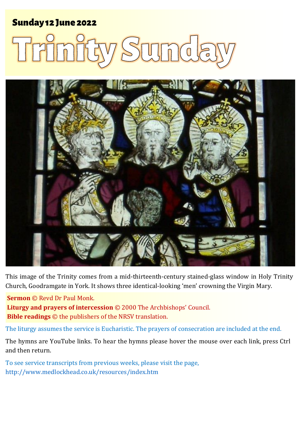# Sunday 12 June 2022 1 **Trinity Sunday** Sunday 12 June 2022

# $\sqrt{a}$



This image of the Trinity comes from a mid-thirteenth-century stained-glass window in Holy Trinity Church, Goodramgate in York. It shows three identical-looking 'men' crowning the Virgin Mary.

**Sermon** © Revd Dr Paul Monk. **Liturgy and prayers of intercession** © 2000 The Archbishops' Council. **Bible readings** © the publishers of the NRSV translation.

The liturgy assumes the service is Eucharistic. The prayers of consecration are included at the end.

The hymns are YouTube links. To hear the hymns please hover the mouse over each link, press Ctrl and then return.

To see service transcripts from previous weeks, please visit the page, <http://www.medlockhead.co.uk/resources/index.htm>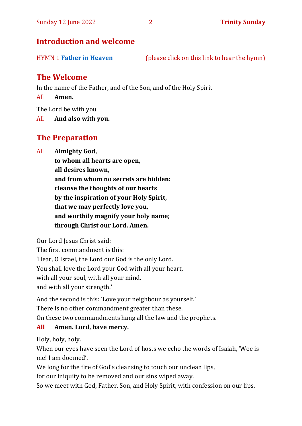# **Introduction and welcome**

| <b>HYMN 1 Father in Heaven</b> | (please click on this link to hear the hymn) |  |
|--------------------------------|----------------------------------------------|--|
|                                |                                              |  |

# **The Welcome**

In the name of the Father, and of the Son, and of the Holy Spirit

All **Amen.**

The Lord be with you

All **And also with you.**

# **The Preparation**

All **Almighty God,**

**to whom all hearts are open, all desires known, and from whom no secrets are hidden: cleanse the thoughts of our hearts by the inspiration of your Holy Spirit, that we may perfectly love you, and worthily magnify your holy name; through Christ our Lord. Amen.**

Our Lord Jesus Christ said:

The first commandment is this: 'Hear, O Israel, the Lord our God is the only Lord. You shall love the Lord your God with all your heart, with all your soul, with all your mind, and with all your strength.'

And the second is this: 'Love your neighbour as yourself.' There is no other commandment greater than these. On these two commandments hang all the law and the prophets.

#### **All Amen. Lord, have mercy.**

Holy, holy, holy.

When our eyes have seen the Lord of hosts we echo the words of Isaiah, 'Woe is me! I am doomed'.

We long for the fire of God's cleansing to touch our unclean lips,

for our iniquity to be removed and our sins wiped away.

So we meet with God, Father, Son, and Holy Spirit, with confession on our lips.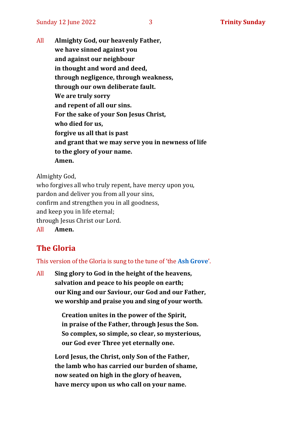All **Almighty God, our heavenly Father, we have sinned against you and against our neighbour in thought and word and deed, through negligence, through weakness, through our own deliberate fault. We are truly sorry and repent of all our sins. For the sake of your Son Jesus Christ, who died for us, forgive us all that is past and grant that we may serve you in newness of life to the glory of your name. Amen.**

Almighty God,

who forgives all who truly repent, have mercy upon you, pardon and deliver you from all your sins, confirm and strengthen you in all goodness, and keep you in life eternal; through Jesus Christ our Lord.

All **Amen.**

# **The Gloria**

This version of the Gloria is sung to the tune of 'the **[Ash Grove](https://www.youtube.com/watch?v=AgSDwFodHw8)**'.

All **Sing glory to God in the height of the heavens, salvation and peace to his people on earth; our King and our Saviour, our God and our Father, we worship and praise you and sing of your worth.**

> **Creation unites in the power of the Spirit, in praise of the Father, through Jesus the Son. So complex, so simple, so clear, so mysterious, our God ever Three yet eternally one.**

**Lord Jesus, the Christ, only Son of the Father, the lamb who has carried our burden of shame, now seated on high in the glory of heaven, have mercy upon us who call on your name.**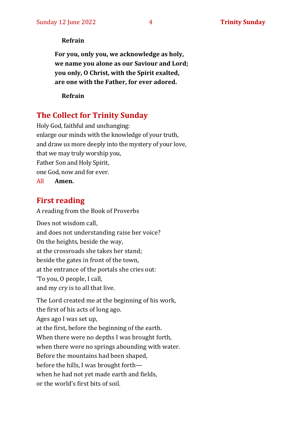#### **Refrain**

**For you, only you, we acknowledge as holy, we name you alone as our Saviour and Lord; you only, O Christ, with the Spirit exalted, are one with the Father, for ever adored.**

**Refrain**

# **The Collect for Trinity Sunday**

Holy God, faithful and unchanging: enlarge our minds with the knowledge of your truth, and draw us more deeply into the mystery of your love, that we may truly worship you, Father Son and Holy Spirit, one God, now and for ever. All **Amen.**

# **First reading**

A reading from the Book of Proverbs

Does not wisdom call, and does not understanding raise her voice? On the heights, beside the way, at the crossroads she takes her stand; beside the gates in front of the town, at the entrance of the portals she cries out: 'To you, O people, I call, and my cry is to all that live.

The Lord created me at the beginning of his work, the first of his acts of long ago. Ages ago I was set up, at the first, before the beginning of the earth. When there were no depths I was brought forth, when there were no springs abounding with water. Before the mountains had been shaped, before the hills, I was brought forth when he had not yet made earth and fields, or the world's first bits of soil.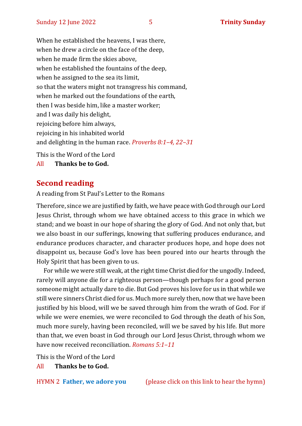When he established the heavens, I was there, when he drew a circle on the face of the deep, when he made firm the skies above, when he established the fountains of the deep, when he assigned to the sea its limit, so that the waters might not transgress his command, when he marked out the foundations of the earth, then I was beside him, like a master worker; and I was daily his delight, rejoicing before him always, rejoicing in his inhabited world and delighting in the human race. *Proverbs 8:1–4, 22–31* This is the Word of the Lord

All **Thanks be to God.**

#### **Second reading**

A reading from St Paul's Letter to the Romans

Therefore, since we are justified by faith, we have peace with God through our Lord Jesus Christ, through whom we have obtained access to this grace in which we stand; and we boast in our hope of sharing the glory of God. And not only that, but we also boast in our sufferings, knowing that suffering produces endurance, and endurance produces character, and character produces hope, and hope does not disappoint us, because God's love has been poured into our hearts through the Holy Spirit that has been given to us.

For while we were still weak, at the right time Christ died for the ungodly. Indeed, rarely will anyone die for a righteous person—though perhaps for a good person someone might actually dare to die. But God proves his love for us in that while we still were sinners Christ died for us. Much more surely then, now that we have been justified by his blood, will we be saved through him from the wrath of God. For if while we were enemies, we were reconciled to God through the death of his Son, much more surely, having been reconciled, will we be saved by his life. But more than that, we even boast in God through our Lord Jesus Christ, through whom we have now received reconciliation. *Romans 5:1–11*

This is the Word of the Lord

All **Thanks be to God.**

HYMN 2 **[Father, we adore you](https://www.youtube.com/watch?v=9bdid2HFk0c)** (please click on this link to hear the hymn)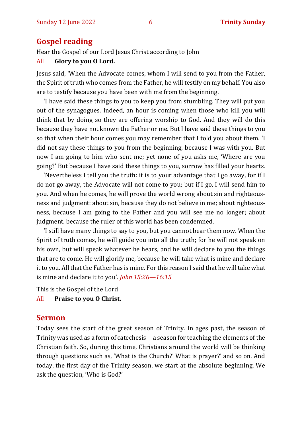# **Gospel reading**

Hear the Gospel of our Lord Jesus Christ according to John

#### All **Glory to you O Lord.**

Jesus said, 'When the Advocate comes, whom I will send to you from the Father, the Spirit of truth who comes from the Father, he will testify on my behalf. You also are to testify because you have been with me from the beginning.

'I have said these things to you to keep you from stumbling. They will put you out of the synagogues. Indeed, an hour is coming when those who kill you will think that by doing so they are offering worship to God. And they will do this because they have not known the Father or me. But I have said these things to you so that when their hour comes you may remember that I told you about them. 'I did not say these things to you from the beginning, because I was with you. But now I am going to him who sent me; yet none of you asks me, 'Where are you going?' But because I have said these things to you, sorrow has filled your hearts.

'Nevertheless I tell you the truth: it is to your advantage that I go away, for if I do not go away, the Advocate will not come to you; but if I go, I will send him to you. And when he comes, he will prove the world wrong about sin and righteousness and judgment: about sin, because they do not believe in me; about righteousness, because I am going to the Father and you will see me no longer; about judgment, because the ruler of this world has been condemned.

'I still have many things to say to you, but you cannot bear them now. When the Spirit of truth comes, he will guide you into all the truth; for he will not speak on his own, but will speak whatever he hears, and he will declare to you the things that are to come. He will glorify me, because he will take what is mine and declare it to you. All that the Father has is mine. For this reason I said that he will take what is mine and declare it to you'. *John 15:26—16:15*

This is the Gospel of the Lord

All **Praise to you O Christ.** 

#### **Sermon**

Today sees the start of the great season of Trinity. In ages past, the season of Trinity was used as a form of catechesis—a season for teaching the elements of the Christian faith. So, during this time, Christians around the world will be thinking through questions such as, 'What is the Church?' What is prayer?' and so on. And today, the first day of the Trinity season, we start at the absolute beginning. We ask the question, 'Who is God?'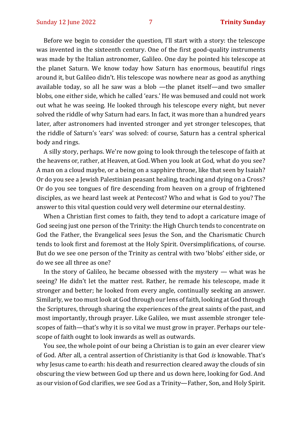Before we begin to consider the question, I'll start with a story: the telescope was invented in the sixteenth century. One of the first good-quality instruments was made by the Italian astronomer, Galileo. One day he pointed his telescope at the planet Saturn. We know today how Saturn has enormous, beautiful rings around it, but Galileo didn't. His telescope was nowhere near as good as anything available today, so all he saw was a blob —the planet itself—and two smaller blobs, one either side, which he called 'ears.' He was bemused and could not work out what he was seeing. He looked through his telescope every night, but never solved the riddle of why Saturn had ears. In fact, it was more than a hundred years later, after astronomers had invented stronger and yet stronger telescopes, that the riddle of Saturn's 'ears' was solved: of course, Saturn has a central spherical body and rings.

A silly story, perhaps. We're now going to look through the telescope of faith at the heavens or, rather, at Heaven, at God. When you look at God, what do you see? A man on a cloud maybe, or a being on a sapphire throne, like that seen by Isaiah? Or do you see a Jewish Palestinian peasant healing, teaching and dying on a Cross? Or do you see tongues of fire descending from heaven on a group of frightened disciples, as we heard last week at Pentecost? Who and what is God to you? The answer to this vital question could very well determine our eternal destiny.

When a Christian first comes to faith, they tend to adopt a caricature image of God seeing just one person of the Trinity: the High Church tends to concentrate on God the Father, the Evangelical sees Jesus the Son, and the Charismatic Church tends to look first and foremost at the Holy Spirit. Oversimplifications, of course. But do we see one person of the Trinity as central with two 'blobs' either side, or do we see all three as one?

In the story of Galileo, he became obsessed with the mystery  $-$  what was he seeing? He didn't let the matter rest. Rather, he remade his telescope, made it stronger and better; he looked from every angle, continually seeking an answer. Similarly, we too must look at God through our lens of faith, looking at God through the Scriptures, through sharing the experiences of the great saints of the past, and most importantly, through prayer. Like Galileo, we must assemble stronger telescopes of faith—that's why it is so vital we must grow in prayer. Perhaps our telescope of faith ought to look inwards as well as outwards.

You see,the whole point of our being a Christian is to gain an ever clearer view of God. After all, a central assertion of Christianity is that God *is* knowable. That's why Jesus came to earth: his death and resurrection cleared away the clouds of sin obscuring the view between God up there and us down here, looking for God. And as our vision of God clarifies, we see God as a Trinity—Father, Son, and Holy Spirit.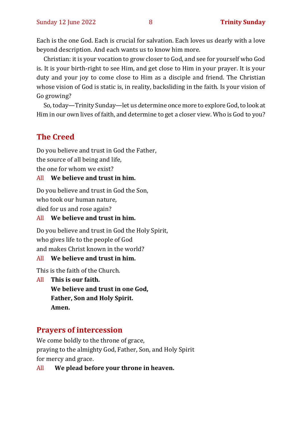Each is the one God. Each is crucial for salvation. Each loves us dearly with a love beyond description. And each wants us to know him more.

Christian: it is your vocation to grow closer to God, and see for yourself who God is. It is your birth-right to see Him, and get close to Him in your prayer. It is your duty and your joy to come close to Him as a disciple and friend. The Christian whose vision of God is static is, in reality, backsliding in the faith. Is your vision of Go growing?

So, today—Trinity Sunday—let us determine once more to explore God, to look at Him in our own lives of faith, and determine to get a closer view. Who is God to you?

# **The Creed**

Do you believe and trust in God the Father, the source of all being and life, the one for whom we exist?

#### All **We believe and trust in him.**

Do you believe and trust in God the Son, who took our human nature,

died for us and rose again?

#### All **We believe and trust in him.**

Do you believe and trust in God the Holy Spirit, who gives life to the people of God and makes Christ known in the world?

#### All **We believe and trust in him.**

This is the faith of the Church.

All **This is our faith. We believe and trust in one God, Father, Son and Holy Spirit. Amen.**

# **Prayers of intercession**

We come boldly to the throne of grace, praying to the almighty God, Father, Son, and Holy Spirit for mercy and grace.

All **We plead before your throne in heaven.**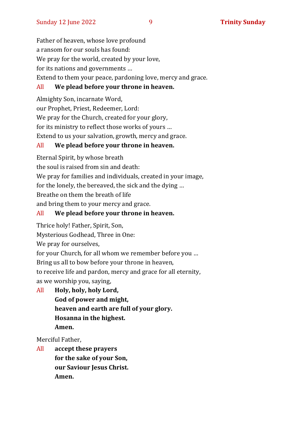Father of heaven, whose love profound a ransom for our souls has found: We pray for the world, created by your love, for its nations and governments … Extend to them your peace, pardoning love, mercy and grace.

## All **We plead before your throne in heaven.**

Almighty Son, incarnate Word, our Prophet, Priest, Redeemer, Lord: We pray for the Church, created for your glory, for its ministry to reflect those works of yours … Extend to us your salvation, growth, mercy and grace.

#### All **We plead before your throne in heaven.**

Eternal Spirit, by whose breath

the soul is raised from sin and death:

We pray for families and individuals, created in your image,

for the lonely, the bereaved, the sick and the dying …

Breathe on them the breath of life

and bring them to your mercy and grace.

## All **We plead before your throne in heaven.**

Thrice holy! Father, Spirit, Son,

Mysterious Godhead, Three in One:

We pray for ourselves,

for your Church, for all whom we remember before you …

Bring us all to bow before your throne in heaven,

to receive life and pardon, mercy and grace for all eternity, as we worship you, saying,

All **Holy, holy, holy Lord, God of power and might, heaven and earth are full of your glory. Hosanna in the highest. Amen.**

# Merciful Father,

All **accept these prayers for the sake of your Son, our Saviour Jesus Christ. Amen.**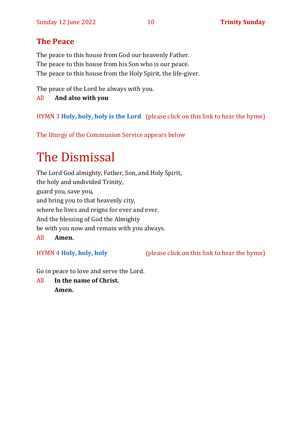# **The Peace**

The peace to this house from God our heavenly Father. The peace to this house from his Son who is our peace. The peace to this house from the Holy Spirit, the life-giver.

The peace of the Lord be always with you.

All **And also with you**

HYMN 3 **[Holy, holy, holy is the Lord](https://www.youtube.com/watch?v=xmUOnZLv4og)** (please click on this link to hear the hymn)

The liturgy of the Communion Service appears below

# The Dismissal

The Lord God almighty, Father, Son, and Holy Spirit, the holy and undivided Trinity, guard you, save you, and bring you to that heavenly city, where he lives and reigns for ever and ever. And the blessing of God the Almighty be with you now and remain with you always. All **Amen.**

HYMN 4 **[Holy, holy, holy](https://www.youtube.com/watch?v=0SHDNs7Dt5M)** (please click on this link to hear the hymn)

Go in peace to love and serve the Lord.

All **In the name of Christ. Amen.**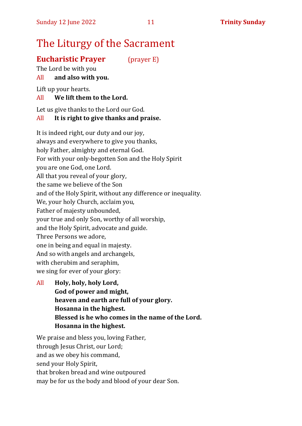# The Liturgy of the Sacrament

# **Eucharistic Prayer** (prayer E)

The Lord be with you

#### All **and also with you.**

Lift up your hearts.

#### All **We lift them to the Lord.**

Let us give thanks to the Lord our God.

#### All **It is right to give thanks and praise.**

It is indeed right, our duty and our joy, always and everywhere to give you thanks, holy Father, almighty and eternal God. For with your only-begotten Son and the Holy Spirit you are one God, one Lord. All that you reveal of your glory, the same we believe of the Son and of the Holy Spirit, without any difference or inequality. We, your holy Church, acclaim you, Father of majesty unbounded, your true and only Son, worthy of all worship, and the Holy Spirit, advocate and guide. Three Persons we adore, one in being and equal in majesty. And so with angels and archangels, with cherubim and seraphim, we sing for ever of your glory:

All **Holy, holy, holy Lord, God of power and might, heaven and earth are full of your glory. Hosanna in the highest. Blessed is he who comes in the name of the Lord. Hosanna in the highest.**

We praise and bless you, loving Father, through Jesus Christ, our Lord; and as we obey his command, send your Holy Spirit, that broken bread and wine outpoured may be for us the body and blood of your dear Son.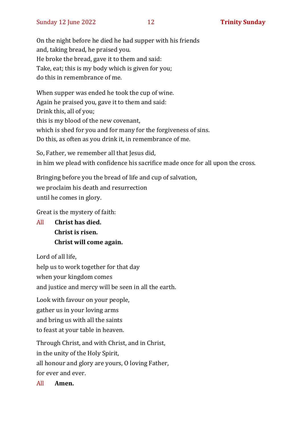On the night before he died he had supper with his friends and, taking bread, he praised you. He broke the bread, gave it to them and said: Take, eat; this is my body which is given for you; do this in remembrance of me.

When supper was ended he took the cup of wine. Again he praised you, gave it to them and said: Drink this, all of you; this is my blood of the new covenant, which is shed for you and for many for the forgiveness of sins. Do this, as often as you drink it, in remembrance of me.

So, Father, we remember all that Jesus did, in him we plead with confidence his sacrifice made once for all upon the cross.

Bringing before you the bread of life and cup of salvation, we proclaim his death and resurrection until he comes in glory.

Great is the mystery of faith:

All **Christ has died. Christ is risen. Christ will come again.**

Lord of all life,

help us to work together for that day

when your kingdom comes

and justice and mercy will be seen in all the earth.

Look with favour on your people, gather us in your loving arms and bring us with all the saints to feast at your table in heaven.

Through Christ, and with Christ, and in Christ, in the unity of the Holy Spirit, all honour and glory are yours, O loving Father, for ever and ever.

All **Amen.**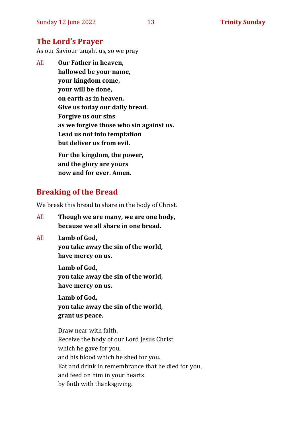# **The Lord's Prayer**

As our Saviour taught us, so we pray

All **Our Father in heaven, hallowed be your name, your kingdom come, your will be done, on earth as in heaven. Give us today our daily bread. Forgive us our sins as we forgive those who sin against us. Lead us not into temptation but deliver us from evil.**

**For the kingdom, the power, and the glory are yours now and for ever. Amen.**

# **Breaking of the Bread**

We break this bread to share in the body of Christ.

- All **Though we are many, we are one body, because we all share in one bread.**
- All **Lamb of God, you take away the sin of the world, have mercy on us.**

**Lamb of God, you take away the sin of the world, have mercy on us.**

**Lamb of God, you take away the sin of the world, grant us peace.**

Draw near with faith. Receive the body of our Lord Jesus Christ which he gave for you, and his blood which he shed for you. Eat and drink in remembrance that he died for you, and feed on him in your hearts by faith with thanksgiving.